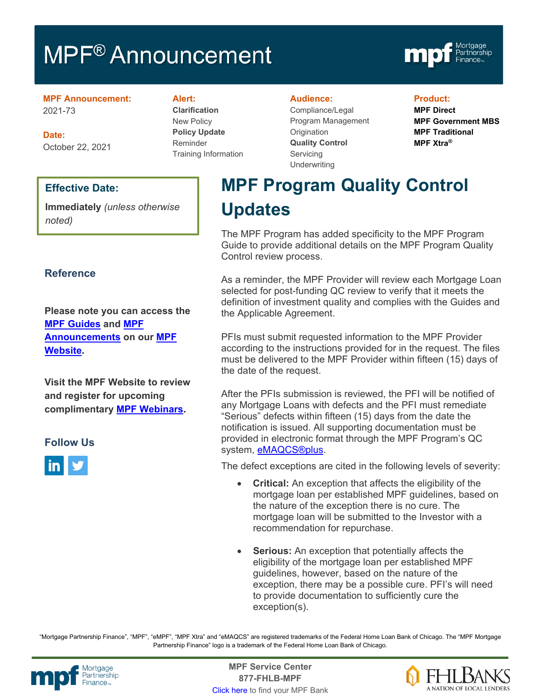# MPF<sup>®</sup> Announcement



#### **MPF Announcement:** 2021-73

**Date:** October 22, 2021

# **Effective Date:**

**Immediately** *(unless otherwise noted)*

# **Reference**

**Please note you can access the [MPF Guides](https://fhlbmpf.com/mpf-guides/guides) and [MPF](https://fhlbmpf.com/mpf-guides/announcements)  [Announcements](https://fhlbmpf.com/mpf-guides/announcements) on our [MPF](https://fhlbmpf.com/)  [Website.](https://fhlbmpf.com/)** 

**Visit the MPF Website to review and register for upcoming complimentary [MPF Webinars.](https://www.fhlbmpf.com/education/upcoming-webinars)**

# **Follow Us**



**Alert:**

**Clarification** New Policy **Policy Update** Reminder Training Information

#### **Audience:**

Compliance/Legal Program Management **Origination Quality Control Servicing Underwriting** 

#### **Product:**

**MPF Direct MPF Government MBS MPF Traditional MPF Xtra®**

# **MPF Program Quality Control Updates**

The MPF Program has added specificity to the MPF Program Guide to provide additional details on the MPF Program Quality Control review process.

As a reminder, the MPF Provider will review each Mortgage Loan selected for post-funding QC review to verify that it meets the definition of investment quality and complies with the Guides and the Applicable Agreement.

PFIs must submit requested information to the MPF Provider according to the instructions provided for in the request. The files must be delivered to the MPF Provider within fifteen (15) days of the date of the request.

After the PFIs submission is reviewed, the PFI will be notified of any Mortgage Loans with defects and the PFI must remediate "Serious" defects within fifteen (15) days from the date the notification is issued. All supporting documentation must be provided in electronic format through the MPF Program's QC system, [eMAQCS®plus.](https://www.fhlbmpf.com/resources/emaqcs-plus)

The defect exceptions are cited in the following levels of severity:

- **Critical:** An exception that affects the eligibility of the mortgage loan per established MPF guidelines, based on the nature of the exception there is no cure. The mortgage loan will be submitted to the Investor with a recommendation for repurchase.
- **Serious:** An exception that potentially affects the eligibility of the mortgage loan per established MPF guidelines, however, based on the nature of the exception, there may be a possible cure. PFI's will need to provide documentation to sufficiently cure the exception(s).

"Mortgage Partnership Finance", "MPF", "eMPF", "MPF Xtra" and "eMAQCS" are registered trademarks of the Federal Home Loan Bank of Chicago. The "MPF Mortgage Partnership Finance" logo is a trademark of the Federal Home Loan Bank of Chicago.



Mortgage **Center Service Center**<br>Partnership **Canadian Center Center**<br> **Partnership CALL STATELL B MDE 877-FHLB-MPF** [Click here](https://www.fhlbmpf.com/fhlbanks/fhlbanks) to find your MPF Bank